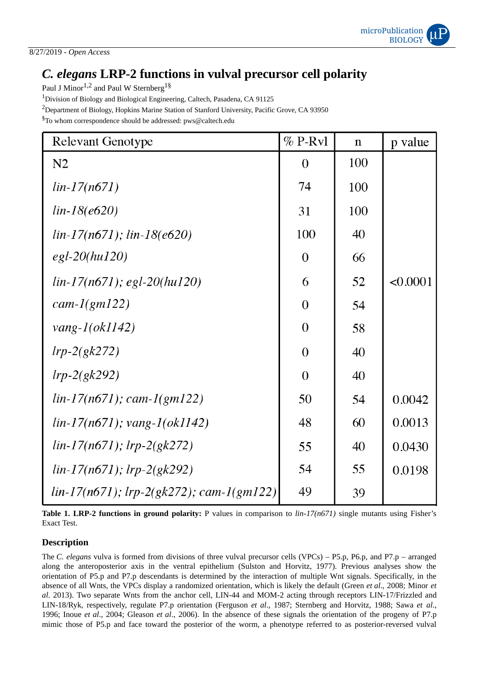

# *C. elegans* **LRP-2 functions in vulval precursor cell polarity**

Paul J Minor<sup>1,2</sup> and Paul W Sternberg<sup>1§</sup>

<sup>1</sup>Division of Biology and Biological Engineering, Caltech, Pasadena, CA 91125

<sup>2</sup>Department of Biology, Hopkins Marine Station of Stanford University, Pacific Grove, CA 93950

 ${}^{8}$ To whom correspondence should be addressed: pws@caltech.edu

| <b>Relevant Genotype</b>                       | $%$ P-Rvl      | $\mathbf n$ | p value  |
|------------------------------------------------|----------------|-------------|----------|
| N <sub>2</sub>                                 | $\theta$       | 100         |          |
| $lin-17(n671)$                                 | 74             | 100         |          |
| $lin-18(e620)$                                 | 31             | 100         |          |
| $lin-17(n671); lin-18(e620)$                   | 100            | 40          |          |
| $egl-20(hu120)$                                | $\overline{0}$ | 66          |          |
| $lin-17(n671);$ egl-20(hu120)                  | 6              | 52          | < 0.0001 |
| $cam-I(gml22)$                                 | $\overline{0}$ | 54          |          |
| $vang-I(ok1142)$                               | $\overline{0}$ | 58          |          |
| $lrp-2(gk272)$                                 | $\overline{0}$ | 40          |          |
| $lrp-2(gk292)$                                 | $\overline{0}$ | 40          |          |
| $lin-17(n671); cam-1(gm122)$                   | 50             | 54          | 0.0042   |
| $lin-17(n671)$ ; vang- $1(ok1142)$             | 48             | 60          | 0.0013   |
| $lin-17(n671); lrp-2(gk272)$                   | 55             | 40          | 0.0430   |
| $lin-17(n671);$ $lrp-2(gk292)$                 | 54             | 55          | 0.0198   |
| $lin-17(n671);$ $lrp-2(gk272);$ $cam-1(gm122)$ | 49             | 39          |          |

**Table 1. LRP-2 functions in ground polarity:** P values in comparison to *lin-17(n671)* single mutants using Fisher's Exact Test.

# **Description**

The *C. elegans* vulva is formed from divisions of three vulval precursor cells (VPCs) – P5.p, P6.p, and P7.p – arranged along the anteroposterior axis in the ventral epithelium (Sulston and Horvitz, 1977). Previous analyses show the orientation of P5.p and P7.p descendants is determined by the interaction of multiple Wnt signals. Specifically, in the absence of all Wnts, the VPCs display a randomized orientation, which is likely the default (Green *et al*., 2008; Minor *et al*. 2013). Two separate Wnts from the anchor cell, LIN-44 and MOM-2 acting through receptors LIN-17/Frizzled and LIN-18/Ryk, respectively, regulate P7.p orientation (Ferguson *et al*., 1987; Sternberg and Horvitz, 1988; Sawa *et al*., 1996; Inoue *et al*., 2004; Gleason *et al*., 2006). In the absence of these signals the orientation of the progeny of P7.p mimic those of P5.p and face toward the posterior of the worm, a phenotype referred to as posterior-reversed vulval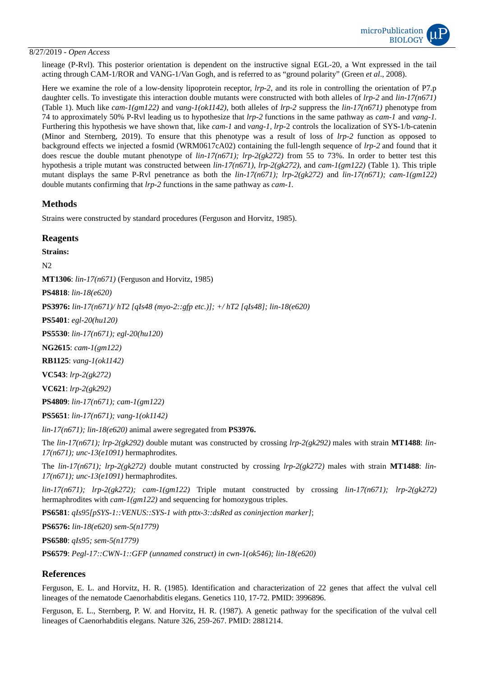#### 8/27/2019 - *Open Access*

lineage (P-Rvl). This posterior orientation is dependent on the instructive signal EGL-20, a Wnt expressed in the tail acting through CAM-1/ROR and VANG-1/Van Gogh, and is referred to as "ground polarity" (Green *et al*., 2008).

Here we examine the role of a low-density lipoprotein receptor, *lrp-2*, and its role in controlling the orientation of P7.p daughter cells. To investigate this interaction double mutants were constructed with both alleles of *lrp-2* and *lin-17(n671)* (Table 1). Much like *cam-1(gm122)* and *vang-1(ok1142)*, both alleles of *lrp-2* suppress the *lin-17(n671)* phenotype from 74 to approximately 50% P-Rvl leading us to hypothesize that *lrp-2* functions in the same pathway as *cam-1* and *vang-1.* Furthering this hypothesis we have shown that, like *cam-1* and *vang-1, lrp-*2 controls the localization of SYS-1/b-catenin (Minor and Sternberg, 2019). To ensure that this phenotype was a result of loss of *lrp-2* function as opposed to background effects we injected a fosmid (WRM0617cA02) containing the full-length sequence of *lrp-2* and found that it does rescue the double mutant phenotype of *lin-17(n671); lrp-2(gk272)* from 55 to 73%. In order to better test this hypothesis a triple mutant was constructed between *lin-17(n671), lrp-2(gk272)*, and *cam-1(gm122)* (Table 1). This triple mutant displays the same P-Rvl penetrance as both the *lin-17(n671); lrp-2(gk272)* and *lin-17(n671); cam-1(gm122)* double mutants confirming that *lrp-2* functions in the same pathway as *cam-1.*

## **Methods**

Strains were constructed by standard procedures (Ferguson and Horvitz, 1985).

#### **Reagents**

**Strains:**

N2

**MT1306**: *lin-17(n671)* (Ferguson and Horvitz, 1985)

**PS4818**: *lin-18(e620)*

**PS3976:** *lin-17(n671)/ hT2 [qIs48 (myo-2::gfp etc.)]; +/ hT2 [qIs48]; lin-18(e620)*

**PS5401**: *egl-20(hu120)*

**PS5530**: *lin-17(n671); egl-20(hu120)*

**NG2615**: *cam-1(gm122)*

**RB1125**: *vang-1(ok1142)*

**VC543**: *lrp-2(gk272)*

**VC621**: *lrp-2(gk292)*

**PS4809**: *lin-17(n671); cam-1(gm122)*

**PS5651**: *lin-17(n671); vang-1(ok1142)*

*lin-17(n671); lin-18(e620)* animal awere segregated from **PS3976.**

The *lin-17(n671); lrp-2(gk292)* double mutant was constructed by crossing *lrp-2(gk292)* males with strain **MT1488**: *lin-17(n671); unc-13(e1091)* hermaphrodites.

The *lin-17(n671); lrp-2(gk272)* double mutant constructed by crossing *lrp-2(gk272)* males with strain **MT1488**: *lin-17(n671); unc-13(e1091)* hermaphrodites.

*lin-17(n671); lrp-2(gk272); cam-1(gm122)* Triple mutant constructed by crossing *lin-17(n671); lrp-2(gk272)* hermaphrodites with *cam-1(gm122)* and sequencing for homozygous triples.

**PS6581**: *qIs95[pSYS-1::VENUS::SYS-1 with pttx-3::dsRed as coninjection marker]*;

**PS6576:** *lin-18(e620) sem-5(n1779)*

**PS6580**: *qIs95; sem-5(n1779)*

**PS6579**: *Pegl-17::CWN-1::GFP (unnamed construct) in cwn-1(ok546); lin-18(e620)*

## **References**

Ferguson, E. L. and Horvitz, H. R. (1985). Identification and characterization of 22 genes that affect the vulval cell lineages of the nematode Caenorhabditis elegans. Genetics 110, 17-72. PMID: 3996896.

Ferguson, E. L., Sternberg, P. W. and Horvitz, H. R. (1987). A genetic pathway for the specification of the vulval cell lineages of Caenorhabditis elegans. Nature 326, 259-267. PMID: 2881214.